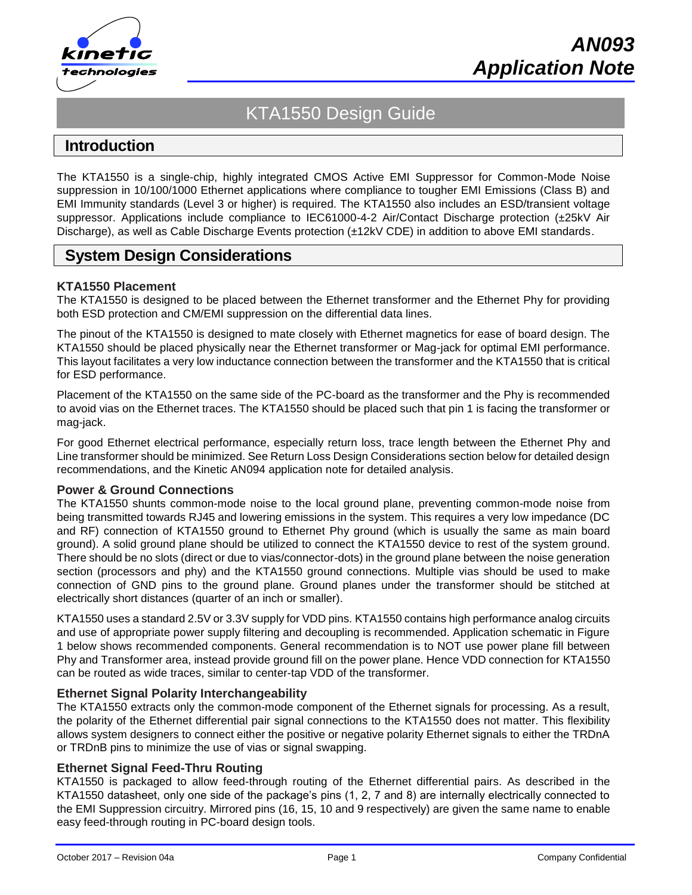

# KTA1550 Design Guide

# **Introduction**

The KTA1550 is a single-chip, highly integrated CMOS Active EMI Suppressor for Common-Mode Noise suppression in 10/100/1000 Ethernet applications where compliance to tougher EMI Emissions (Class B) and EMI Immunity standards (Level 3 or higher) is required. The KTA1550 also includes an ESD/transient voltage suppressor. Applications include compliance to IEC61000-4-2 Air/Contact Discharge protection (±25kV Air Discharge), as well as Cable Discharge Events protection (±12kV CDE) in addition to above EMI standards.

# **System Design Considerations**

### **KTA1550 Placement**

The KTA1550 is designed to be placed between the Ethernet transformer and the Ethernet Phy for providing both ESD protection and CM/EMI suppression on the differential data lines.

The pinout of the KTA1550 is designed to mate closely with Ethernet magnetics for ease of board design. The KTA1550 should be placed physically near the Ethernet transformer or Mag-jack for optimal EMI performance. This layout facilitates a very low inductance connection between the transformer and the KTA1550 that is critical for ESD performance.

Placement of the KTA1550 on the same side of the PC-board as the transformer and the Phy is recommended to avoid vias on the Ethernet traces. The KTA1550 should be placed such that pin 1 is facing the transformer or mag-jack.

For good Ethernet electrical performance, especially return loss, trace length between the Ethernet Phy and Line transformer should be minimized. See Return Loss Design Considerations section below for detailed design recommendations, and the Kinetic AN094 application note for detailed analysis.

#### **Power & Ground Connections**

The KTA1550 shunts common-mode noise to the local ground plane, preventing common-mode noise from being transmitted towards RJ45 and lowering emissions in the system. This requires a very low impedance (DC and RF) connection of KTA1550 ground to Ethernet Phy ground (which is usually the same as main board ground). A solid ground plane should be utilized to connect the KTA1550 device to rest of the system ground. There should be no slots (direct or due to vias/connector-dots) in the ground plane between the noise generation section (processors and phy) and the KTA1550 ground connections. Multiple vias should be used to make connection of GND pins to the ground plane. Ground planes under the transformer should be stitched at electrically short distances (quarter of an inch or smaller).

KTA1550 uses a standard 2.5V or 3.3V supply for VDD pins. KTA1550 contains high performance analog circuits and use of appropriate power supply filtering and decoupling is recommended. Application schematic in Figure 1 below shows recommended components. General recommendation is to NOT use power plane fill between Phy and Transformer area, instead provide ground fill on the power plane. Hence VDD connection for KTA1550 can be routed as wide traces, similar to center-tap VDD of the transformer.

### **Ethernet Signal Polarity Interchangeability**

The KTA1550 extracts only the common-mode component of the Ethernet signals for processing. As a result, the polarity of the Ethernet differential pair signal connections to the KTA1550 does not matter. This flexibility allows system designers to connect either the positive or negative polarity Ethernet signals to either the TRDnA or TRDnB pins to minimize the use of vias or signal swapping.

### **Ethernet Signal Feed-Thru Routing**

KTA1550 is packaged to allow feed-through routing of the Ethernet differential pairs. As described in the KTA1550 datasheet, only one side of the package's pins (1, 2, 7 and 8) are internally electrically connected to the EMI Suppression circuitry. Mirrored pins (16, 15, 10 and 9 respectively) are given the same name to enable easy feed-through routing in PC-board design tools.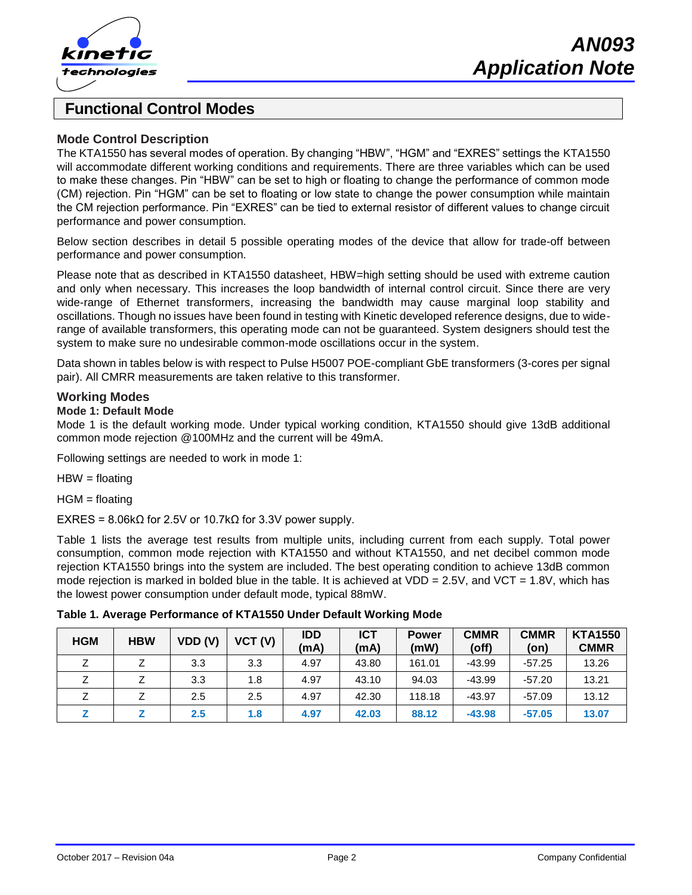

# **Functional Control Modes**

### **Mode Control Description**

The KTA1550 has several modes of operation. By changing "HBW", "HGM" and "EXRES" settings the KTA1550 will accommodate different working conditions and requirements. There are three variables which can be used to make these changes. Pin "HBW" can be set to high or floating to change the performance of common mode (CM) rejection. Pin "HGM" can be set to floating or low state to change the power consumption while maintain the CM rejection performance. Pin "EXRES" can be tied to external resistor of different values to change circuit performance and power consumption.

Below section describes in detail 5 possible operating modes of the device that allow for trade-off between performance and power consumption.

Please note that as described in KTA1550 datasheet, HBW=high setting should be used with extreme caution and only when necessary. This increases the loop bandwidth of internal control circuit. Since there are very wide-range of Ethernet transformers, increasing the bandwidth may cause marginal loop stability and oscillations. Though no issues have been found in testing with Kinetic developed reference designs, due to widerange of available transformers, this operating mode can not be guaranteed. System designers should test the system to make sure no undesirable common-mode oscillations occur in the system.

Data shown in tables below is with respect to Pulse H5007 POE-compliant GbE transformers (3-cores per signal pair). All CMRR measurements are taken relative to this transformer.

#### **Working Modes**

#### **Mode 1: Default Mode**

Mode 1 is the default working mode. Under typical working condition, KTA1550 should give 13dB additional common mode rejection @100MHz and the current will be 49mA.

Following settings are needed to work in mode 1:

 $HBW =$  floating

HGM = floating

EXRES =  $8.06$ kΩ for 2.5V or 10.7kΩ for 3.3V power supply.

Table 1 lists the average test results from multiple units, including current from each supply. Total power consumption, common mode rejection with KTA1550 and without KTA1550, and net decibel common mode rejection KTA1550 brings into the system are included. The best operating condition to achieve 13dB common mode rejection is marked in bolded blue in the table. It is achieved at VDD =  $2.5V$ , and VCT =  $1.8V$ , which has the lowest power consumption under default mode, typical 88mW.

| <b>HGM</b> | <b>HBW</b> | VDD(V) | VCT (V) | <b>IDD</b><br>(mA) | <b>ICT</b><br>(mA) | <b>Power</b><br>(mW) | <b>CMMR</b><br>(off) | <b>CMMR</b><br>(on) | <b>KTA1550</b><br><b>CMMR</b> |
|------------|------------|--------|---------|--------------------|--------------------|----------------------|----------------------|---------------------|-------------------------------|
|            |            | 3.3    | 3.3     | 4.97               | 43.80              | 161.01               | -43.99               | $-57.25$            | 13.26                         |
|            |            | 3.3    | 1.8     | 4.97               | 43.10              | 94.03                | $-43.99$             | $-57.20$            | 13.21                         |
|            |            | 2.5    | 2.5     | 4.97               | 42.30              | 118.18               | $-43.97$             | $-57.09$            | 13.12                         |
|            |            | 2.5    | 1.8     | 4.97               | 42.03              | 88.12                | $-43.98$             | $-57.05$            | 13.07                         |

**Table 1. Average Performance of KTA1550 Under Default Working Mode**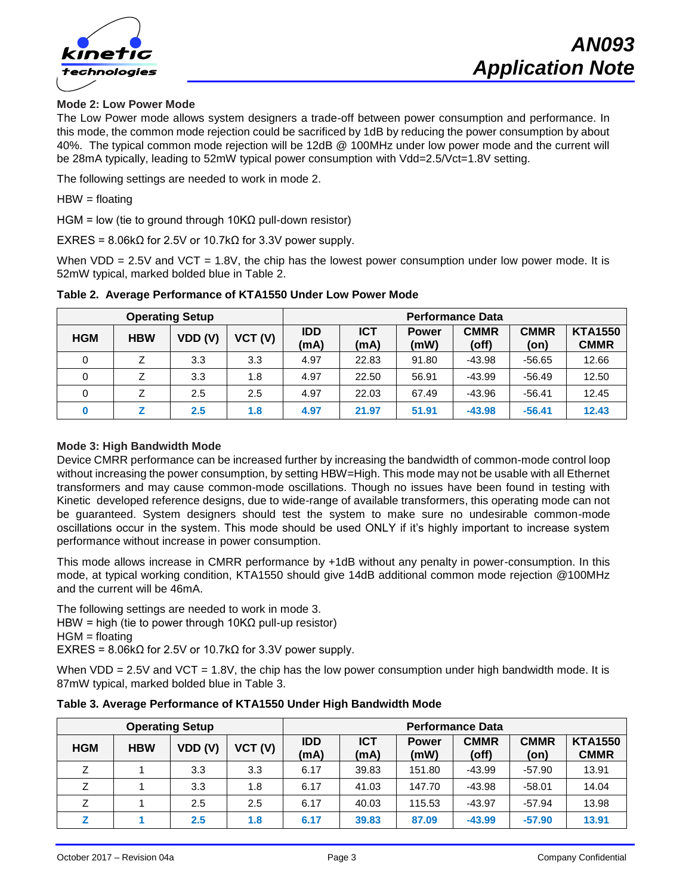

### **Mode 2: Low Power Mode**

The Low Power mode allows system designers a trade-off between power consumption and performance. In this mode, the common mode rejection could be sacrificed by 1dB by reducing the power consumption by about 40%. The typical common mode rejection will be 12dB @ 100MHz under low power mode and the current will be 28mA typically, leading to 52mW typical power consumption with Vdd=2.5/Vct=1.8V setting.

The following settings are needed to work in mode 2.

HBW = floating

HGM = low (tie to ground through 10K $\Omega$  pull-down resistor)

EXRES = 8.06kΩ for 2.5V or 10.7kΩ for 3.3V power supply.

When VDD =  $2.5V$  and VCT =  $1.8V$ , the chip has the lowest power consumption under low power mode. It is 52mW typical, marked bolded blue in Table 2.

| <b>Operating Setup</b> |            |        |         | <b>Performance Data</b> |                    |                      |                      |                     |                               |
|------------------------|------------|--------|---------|-------------------------|--------------------|----------------------|----------------------|---------------------|-------------------------------|
| <b>HGM</b>             | <b>HBW</b> | VDD(V) | VCT (V) | <b>IDD</b><br>(mA)      | <b>ICT</b><br>(mA) | <b>Power</b><br>(mW) | <b>CMMR</b><br>(off) | <b>CMMR</b><br>(on) | <b>KTA1550</b><br><b>CMMR</b> |
|                        |            | 3.3    | 3.3     | 4.97                    | 22.83              | 91.80                | $-43.98$             | $-56.65$            | 12.66                         |
| 0                      |            | 3.3    | 1.8     | 4.97                    | 22.50              | 56.91                | $-43.99$             | -56.49              | 12.50                         |
|                        |            | 2.5    | 2.5     | 4.97                    | 22.03              | 67.49                | $-43.96$             | $-56.41$            | 12.45                         |
|                        |            | 2.5    | 1.8     | 4.97                    | 21.97              | 51.91                | $-43.98$             | $-56.41$            | 12.43                         |

**Table 2. Average Performance of KTA1550 Under Low Power Mode**

#### **Mode 3: High Bandwidth Mode**

Device CMRR performance can be increased further by increasing the bandwidth of common-mode control loop without increasing the power consumption, by setting HBW=High. This mode may not be usable with all Ethernet transformers and may cause common-mode oscillations. Though no issues have been found in testing with Kinetic developed reference designs, due to wide-range of available transformers, this operating mode can not be guaranteed. System designers should test the system to make sure no undesirable common-mode oscillations occur in the system. This mode should be used ONLY if it's highly important to increase system performance without increase in power consumption.

This mode allows increase in CMRR performance by +1dB without any penalty in power-consumption. In this mode, at typical working condition, KTA1550 should give 14dB additional common mode rejection @100MHz and the current will be 46mA.

The following settings are needed to work in mode 3. HBW = high (tie to power through  $10KΩ$  pull-up resistor) HGM = floating EXRES = 8.06kΩ for 2.5V or 10.7kΩ for 3.3V power supply.

When  $VDD = 2.5V$  and  $VCT = 1.8V$ , the chip has the low power consumption under high bandwidth mode. It is 87mW typical, marked bolded blue in Table 3.

| <b>Operating Setup</b> |            |        |         | <b>Performance Data</b> |                    |                      |                      |                     |                               |
|------------------------|------------|--------|---------|-------------------------|--------------------|----------------------|----------------------|---------------------|-------------------------------|
| <b>HGM</b>             | <b>HBW</b> | VDD(V) | VCT (V) | <b>IDD</b><br>(mA)      | <b>ICT</b><br>(mA) | <b>Power</b><br>(mW) | <b>CMMR</b><br>(off) | <b>CMMR</b><br>(on) | <b>KTA1550</b><br><b>CMMR</b> |
| Z                      |            | 3.3    | 3.3     | 6.17                    | 39.83              | 151.80               | $-43.99$             | $-57.90$            | 13.91                         |
| 7                      |            | 3.3    | 1.8     | 6.17                    | 41.03              | 147.70               | $-43.98$             | $-58.01$            | 14.04                         |
|                        |            | 2.5    | 2.5     | 6.17                    | 40.03              | 115.53               | $-43.97$             | $-57.94$            | 13.98                         |
| 7                      |            | 2.5    | 1.8     | 6.17                    | 39.83              | 87.09                | $-43.99$             | $-57.90$            | 13.91                         |

**Table 3. Average Performance of KTA1550 Under High Bandwidth Mode**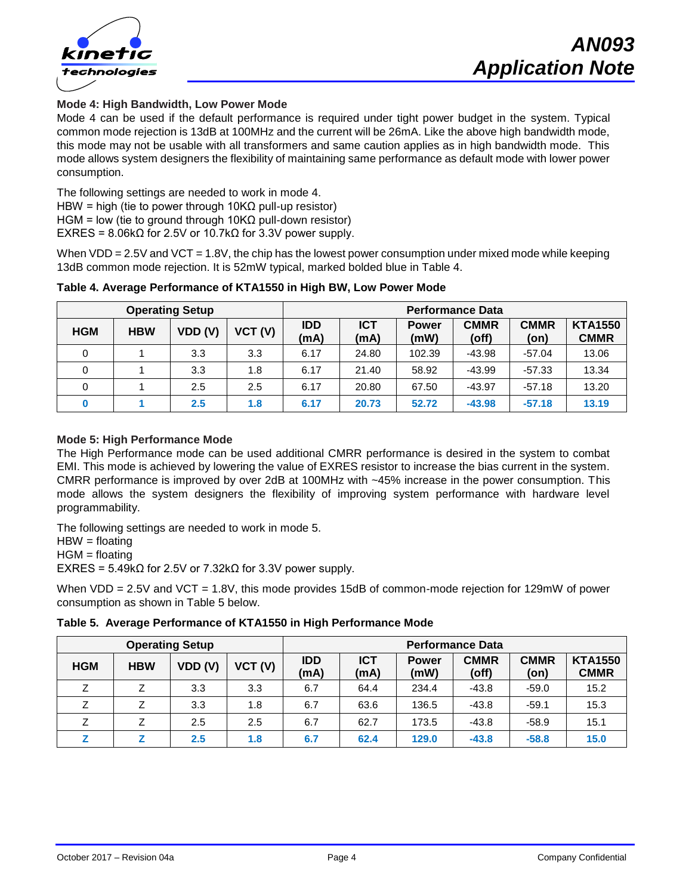

#### **Mode 4: High Bandwidth, Low Power Mode**

Mode 4 can be used if the default performance is required under tight power budget in the system. Typical common mode rejection is 13dB at 100MHz and the current will be 26mA. Like the above high bandwidth mode, this mode may not be usable with all transformers and same caution applies as in high bandwidth mode. This mode allows system designers the flexibility of maintaining same performance as default mode with lower power consumption.

The following settings are needed to work in mode 4. HBW = high (tie to power through 10KΩ pull-up resistor) HGM = low (tie to ground through 10K $\Omega$  pull-down resistor) EXRES =  $8.06$ kΩ for 2.5V or 10.7kΩ for 3.3V power supply.

When  $VDD = 2.5V$  and  $VCT = 1.8V$ , the chip has the lowest power consumption under mixed mode while keeping 13dB common mode rejection. It is 52mW typical, marked bolded blue in Table 4.

| <b>Operating Setup</b> |            |        |         | <b>Performance Data</b> |                    |                      |                      |                     |                               |
|------------------------|------------|--------|---------|-------------------------|--------------------|----------------------|----------------------|---------------------|-------------------------------|
| <b>HGM</b>             | <b>HBW</b> | VDD(V) | VCT (V) | <b>IDD</b><br>(mA)      | <b>ICT</b><br>(mA) | <b>Power</b><br>(mW) | <b>CMMR</b><br>(off) | <b>CMMR</b><br>(on) | <b>KTA1550</b><br><b>CMMR</b> |
| 0                      |            | 3.3    | 3.3     | 6.17                    | 24.80              | 102.39               | $-43.98$             | $-57.04$            | 13.06                         |
|                        |            | 3.3    | 1.8     | 6.17                    | 21.40              | 58.92                | $-43.99$             | $-57.33$            | 13.34                         |
| 0                      |            | 2.5    | 2.5     | 6.17                    | 20.80              | 67.50                | $-43.97$             | $-57.18$            | 13.20                         |
|                        |            | 2.5    | 1.8     | 6.17                    | 20.73              | 52.72                | $-43.98$             | $-57.18$            | 13.19                         |

#### **Table 4. Average Performance of KTA1550 in High BW, Low Power Mode**

#### **Mode 5: High Performance Mode**

The High Performance mode can be used additional CMRR performance is desired in the system to combat EMI. This mode is achieved by lowering the value of EXRES resistor to increase the bias current in the system. CMRR performance is improved by over 2dB at 100MHz with ~45% increase in the power consumption. This mode allows the system designers the flexibility of improving system performance with hardware level programmability.

The following settings are needed to work in mode 5.

 $HBW =$  floating

HGM = floating

EXRES = 5.49kΩ for 2.5V or 7.32kΩ for 3.3V power supply.

When VDD = 2.5V and VCT = 1.8V, this mode provides 15dB of common-mode rejection for 129mW of power consumption as shown in Table 5 below.

| Table 5. Average Performance of KTA1550 in High Performance Mode |  |
|------------------------------------------------------------------|--|
|                                                                  |  |

| <b>Operating Setup</b> |            |        |         | <b>Performance Data</b> |                    |                      |                      |                     |                               |
|------------------------|------------|--------|---------|-------------------------|--------------------|----------------------|----------------------|---------------------|-------------------------------|
| <b>HGM</b>             | <b>HBW</b> | VDD(V) | VCT (V) | <b>IDD</b><br>(mA)      | <b>ICT</b><br>(mA) | <b>Power</b><br>(mW) | <b>CMMR</b><br>(off) | <b>CMMR</b><br>(on) | <b>KTA1550</b><br><b>CMMR</b> |
| Ζ                      |            | 3.3    | 3.3     | 6.7                     | 64.4               | 234.4                | $-43.8$              | $-59.0$             | 15.2                          |
| Ζ                      |            | 3.3    | 1.8     | 6.7                     | 63.6               | 136.5                | $-43.8$              | $-59.1$             | 15.3                          |
| 7                      |            | 2.5    | 2.5     | 6.7                     | 62.7               | 173.5                | $-43.8$              | $-58.9$             | 15.1                          |
|                        |            | 2.5    | 1.8     | 6.7                     | 62.4               | 129.0                | $-43.8$              | $-58.8$             | 15.0                          |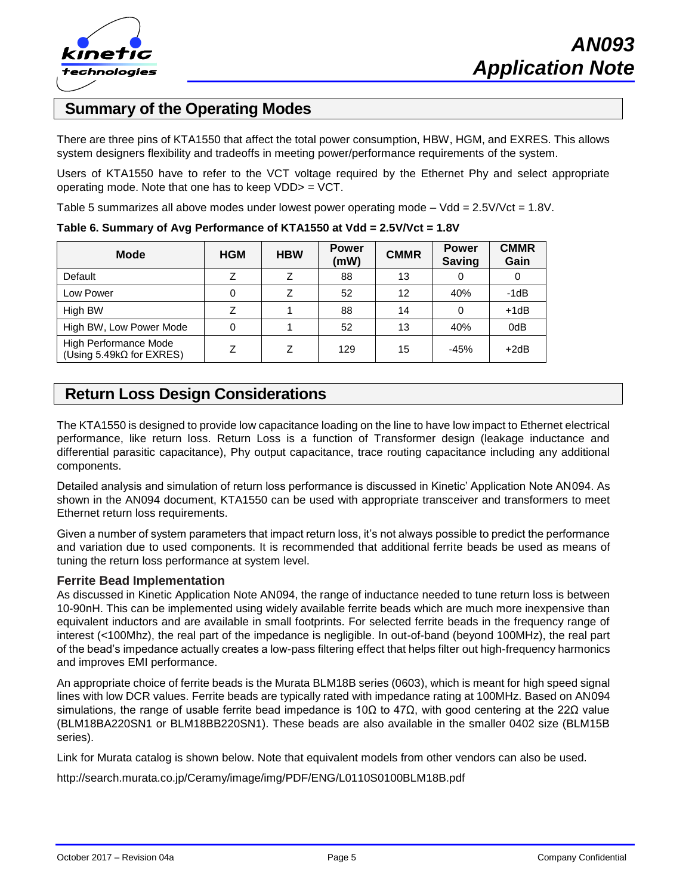

# **Summary of the Operating Modes**

There are three pins of KTA1550 that affect the total power consumption, HBW, HGM, and EXRES. This allows system designers flexibility and tradeoffs in meeting power/performance requirements of the system.

Users of KTA1550 have to refer to the VCT voltage required by the Ethernet Phy and select appropriate operating mode. Note that one has to keep VDD> = VCT.

Table 5 summarizes all above modes under lowest power operating mode – Vdd = 2.5V/Vct = 1.8V.

| <b>Mode</b>                                               | <b>HGM</b> | <b>HBW</b> | <b>Power</b><br>(mW) | <b>CMMR</b> | <b>Power</b><br><b>Saving</b> | <b>CMMR</b><br>Gain |
|-----------------------------------------------------------|------------|------------|----------------------|-------------|-------------------------------|---------------------|
| Default                                                   |            |            | 88                   | 13          |                               | 0                   |
| Low Power                                                 | 0          |            | 52                   | 12          | 40%                           | $-1dB$              |
| High BW                                                   |            |            | 88                   | 14          | 0                             | $+1dB$              |
| High BW, Low Power Mode                                   | 0          |            | 52                   | 13          | 40%                           | 0dB                 |
| High Performance Mode<br>(Using 5.49 $k\Omega$ for EXRES) |            | 7          | 129                  | 15          | $-45%$                        | $+2dB$              |

**Table 6. Summary of Avg Performance of KTA1550 at Vdd = 2.5V/Vct = 1.8V**

# **Return Loss Design Considerations**

The KTA1550 is designed to provide low capacitance loading on the line to have low impact to Ethernet electrical performance, like return loss. Return Loss is a function of Transformer design (leakage inductance and differential parasitic capacitance), Phy output capacitance, trace routing capacitance including any additional components.

Detailed analysis and simulation of return loss performance is discussed in Kinetic' Application Note AN094. As shown in the AN094 document, KTA1550 can be used with appropriate transceiver and transformers to meet Ethernet return loss requirements.

Given a number of system parameters that impact return loss, it's not always possible to predict the performance and variation due to used components. It is recommended that additional ferrite beads be used as means of tuning the return loss performance at system level.

#### **Ferrite Bead Implementation**

As discussed in Kinetic Application Note AN094, the range of inductance needed to tune return loss is between 10-90nH. This can be implemented using widely available ferrite beads which are much more inexpensive than equivalent inductors and are available in small footprints. For selected ferrite beads in the frequency range of interest (<100Mhz), the real part of the impedance is negligible. In out-of-band (beyond 100MHz), the real part of the bead's impedance actually creates a low-pass filtering effect that helps filter out high-frequency harmonics and improves EMI performance.

An appropriate choice of ferrite beads is the Murata BLM18B series (0603), which is meant for high speed signal lines with low DCR values. Ferrite beads are typically rated with impedance rating at 100MHz. Based on AN094 simulations, the range of usable ferrite bead impedance is 10Ω to 47Ω, with good centering at the 22Ω value (BLM18BA220SN1 or BLM18BB220SN1). These beads are also available in the smaller 0402 size (BLM15B series).

Link for Murata catalog is shown below. Note that equivalent models from other vendors can also be used.

http://search.murata.co.jp/Ceramy/image/img/PDF/ENG/L0110S0100BLM18B.pdf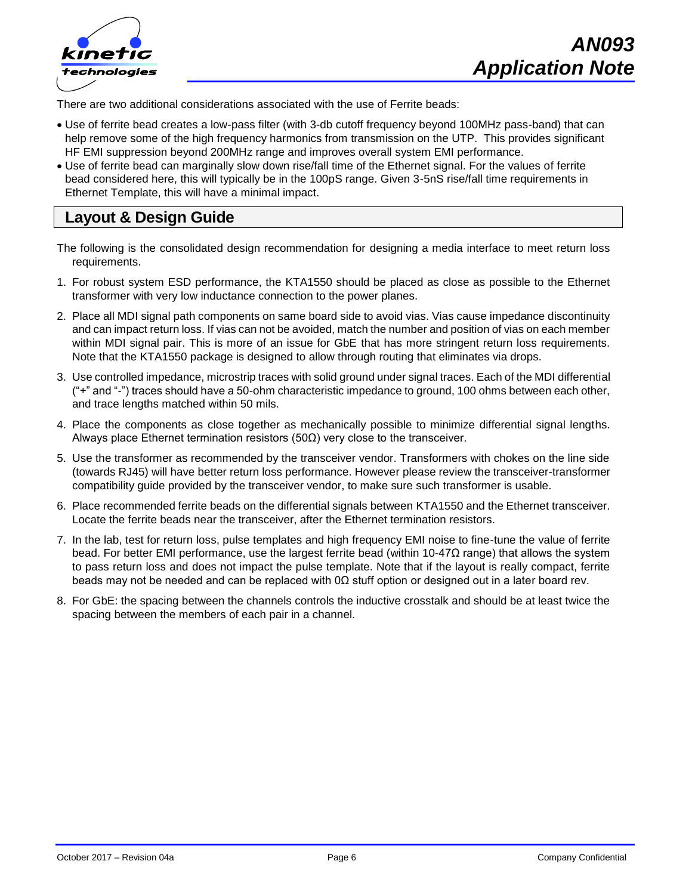

There are two additional considerations associated with the use of Ferrite beads:

- Use of ferrite bead creates a low-pass filter (with 3-db cutoff frequency beyond 100MHz pass-band) that can help remove some of the high frequency harmonics from transmission on the UTP. This provides significant HF EMI suppression beyond 200MHz range and improves overall system EMI performance.
- Use of ferrite bead can marginally slow down rise/fall time of the Ethernet signal. For the values of ferrite bead considered here, this will typically be in the 100pS range. Given 3-5nS rise/fall time requirements in Ethernet Template, this will have a minimal impact.

# **Layout & Design Guide**

- The following is the consolidated design recommendation for designing a media interface to meet return loss requirements.
- 1. For robust system ESD performance, the KTA1550 should be placed as close as possible to the Ethernet transformer with very low inductance connection to the power planes.
- 2. Place all MDI signal path components on same board side to avoid vias. Vias cause impedance discontinuity and can impact return loss. If vias can not be avoided, match the number and position of vias on each member within MDI signal pair. This is more of an issue for GbE that has more stringent return loss requirements. Note that the KTA1550 package is designed to allow through routing that eliminates via drops.
- 3. Use controlled impedance, microstrip traces with solid ground under signal traces. Each of the MDI differential ("+" and "-") traces should have a 50-ohm characteristic impedance to ground, 100 ohms between each other, and trace lengths matched within 50 mils.
- 4. Place the components as close together as mechanically possible to minimize differential signal lengths. Always place Ethernet termination resistors  $(50\Omega)$  very close to the transceiver.
- 5. Use the transformer as recommended by the transceiver vendor. Transformers with chokes on the line side (towards RJ45) will have better return loss performance. However please review the transceiver-transformer compatibility guide provided by the transceiver vendor, to make sure such transformer is usable.
- 6. Place recommended ferrite beads on the differential signals between KTA1550 and the Ethernet transceiver. Locate the ferrite beads near the transceiver, after the Ethernet termination resistors.
- 7. In the lab, test for return loss, pulse templates and high frequency EMI noise to fine-tune the value of ferrite bead. For better EMI performance, use the largest ferrite bead (within 10-47Ω range) that allows the system to pass return loss and does not impact the pulse template. Note that if the layout is really compact, ferrite beads may not be needed and can be replaced with 0Ω stuff option or designed out in a later board rev.
- 8. For GbE: the spacing between the channels controls the inductive crosstalk and should be at least twice the spacing between the members of each pair in a channel.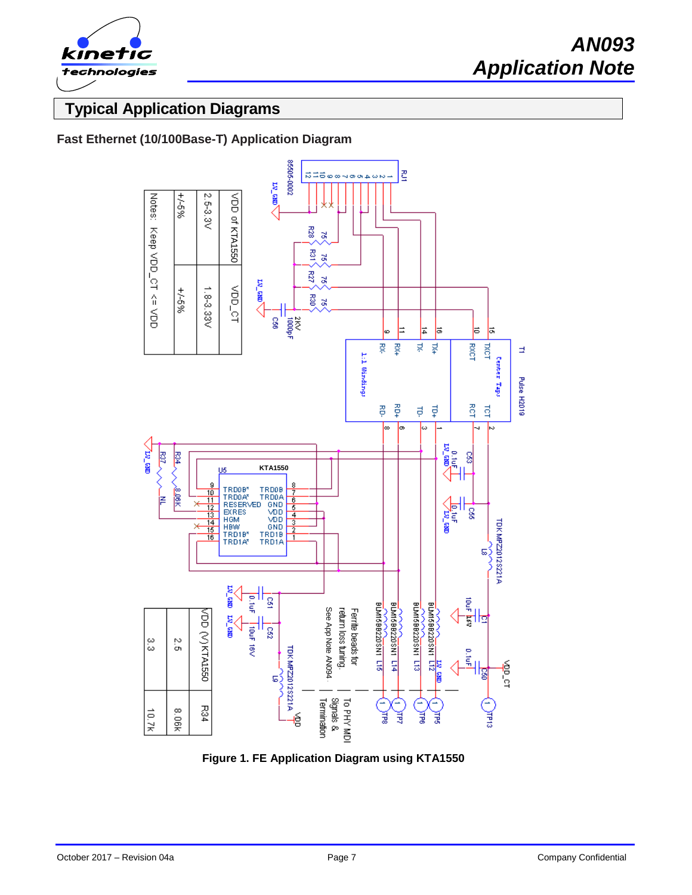

# **Typical Application Diagrams**

### **Fast Ethernet (10/100Base-T) Application Diagram**



**Figure 1. FE Application Diagram using KTA1550**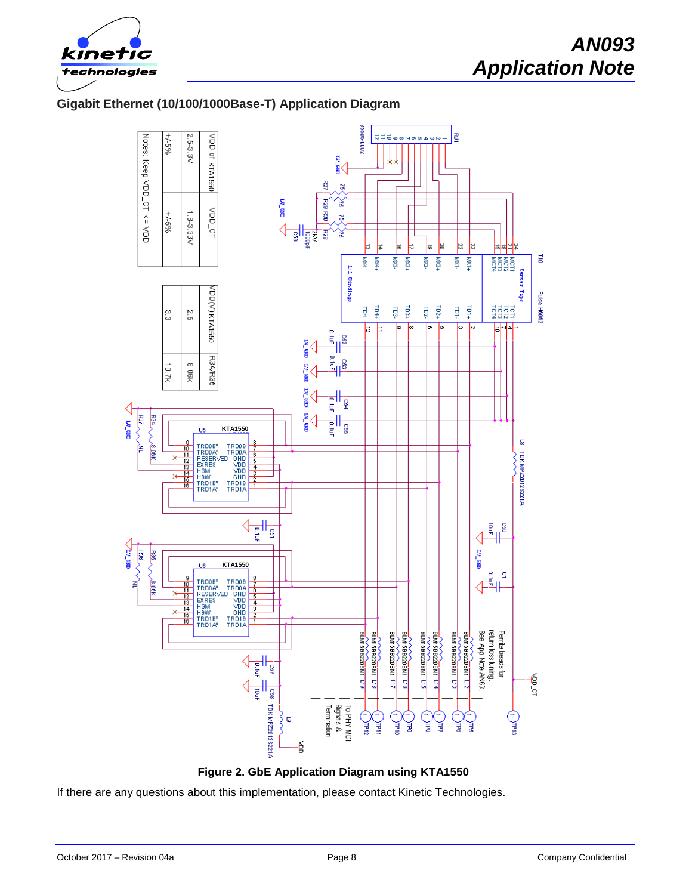

### **Gigabit Ethernet (10/100/1000Base-T) Application Diagram**





If there are any questions about this implementation, please contact Kinetic Technologies.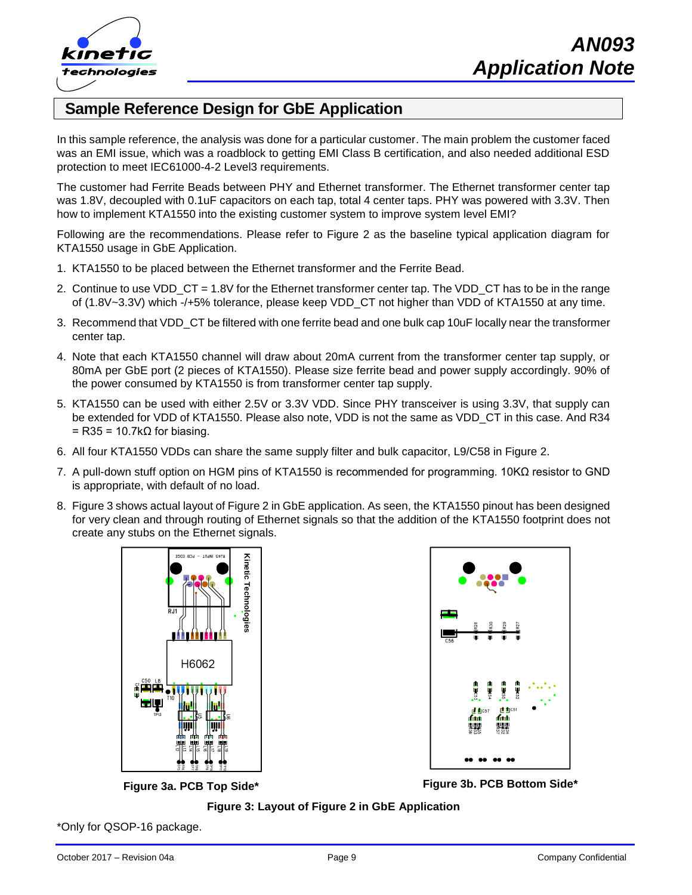

# **Sample Reference Design for GbE Application**

In this sample reference, the analysis was done for a particular customer. The main problem the customer faced was an EMI issue, which was a roadblock to getting EMI Class B certification, and also needed additional ESD protection to meet IEC61000-4-2 Level3 requirements.

The customer had Ferrite Beads between PHY and Ethernet transformer. The Ethernet transformer center tap was 1.8V, decoupled with 0.1uF capacitors on each tap, total 4 center taps. PHY was powered with 3.3V. Then how to implement KTA1550 into the existing customer system to improve system level EMI?

Following are the recommendations. Please refer to Figure 2 as the baseline typical application diagram for KTA1550 usage in GbE Application.

- 1. KTA1550 to be placed between the Ethernet transformer and the Ferrite Bead.
- 2. Continue to use VDD CT = 1.8V for the Ethernet transformer center tap. The VDD CT has to be in the range of (1.8V~3.3V) which -/+5% tolerance, please keep VDD\_CT not higher than VDD of KTA1550 at any time.
- 3. Recommend that VDD\_CT be filtered with one ferrite bead and one bulk cap 10uF locally near the transformer center tap.
- 4. Note that each KTA1550 channel will draw about 20mA current from the transformer center tap supply, or 80mA per GbE port (2 pieces of KTA1550). Please size ferrite bead and power supply accordingly. 90% of the power consumed by KTA1550 is from transformer center tap supply.
- 5. KTA1550 can be used with either 2.5V or 3.3V VDD. Since PHY transceiver is using 3.3V, that supply can be extended for VDD of KTA1550. Please also note, VDD is not the same as VDD\_CT in this case. And R34  $=$  R35 = 10.7k $\Omega$  for biasing.
- 6. All four KTA1550 VDDs can share the same supply filter and bulk capacitor, L9/C58 in Figure 2.
- 7. A pull-down stuff option on HGM pins of KTA1550 is recommended for programming. 10KΩ resistor to GND is appropriate, with default of no load.
- 8. Figure 3 shows actual layout of Figure 2 in GbE application. As seen, the KTA1550 pinout has been designed for very clean and through routing of Ethernet signals so that the addition of the KTA1550 footprint does not create any stubs on the Ethernet signals.





**Figure 3a. PCB Top Side\* Figure 3b. PCB Bottom Side\***

**Figure 3: Layout of Figure 2 in GbE Application**

\*Only for QSOP-16 package.